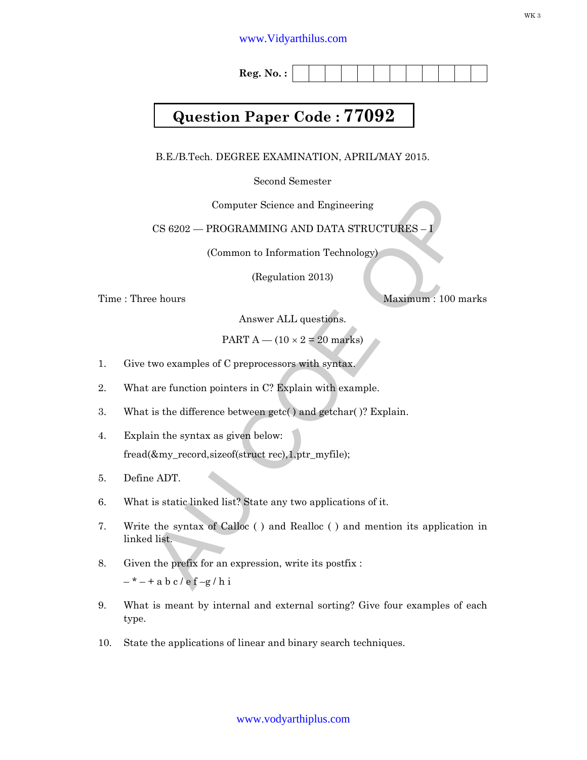## www.Vidyarthilus.com

**Reg. No. :**

## **Question Paper Code : 77092**

B.E./B.Tech. DEGREE EXAMINATION, APRIL/MAY 2015.

Second Semester

Computer Science and Engineering

CS 6202 - PROGRAMMING AND DATA STRUCTURES -

(Common to Information Technology)

(Regulation 2013)

Time : Three hours Maximum : 100 marks

Answer ALL questions.

PART  $A - (10 \times 2 = 20$  marks)

- 1. Give two examples of C preprocessors with syntax.
- 2. What are function pointers in C? Explain with example.
- 3. What is the difference between getc( ) and getchar( )? Explain.
- 4. Explain the syntax as given below: fread(&my\_record,sizeof(struct rec),1,ptr\_myfile);
- 5. Define ADT.
- 6. What is static linked list? State any two applications of it.
- CS 6202 PROGRAMMING AND DATA STRUCTURES (Common to Information Technology)<br>
(Regulation 2013)<br>
(Regulation 2013)<br>
Respectively. The propriety of the propriation of the base of C preprocessors with syntax.<br>
FART A (1 7. Write the syntax of Calloc ( ) and Realloc ( ) and mention its application in linked list.
- 8. Given the prefix for an expression, write its postfix :

 $-$  \*  $-$  + a b c / e f -g / h i

- 9. What is meant by internal and external sorting? Give four examples of each type.
- 10. State the applications of linear and binary search techniques.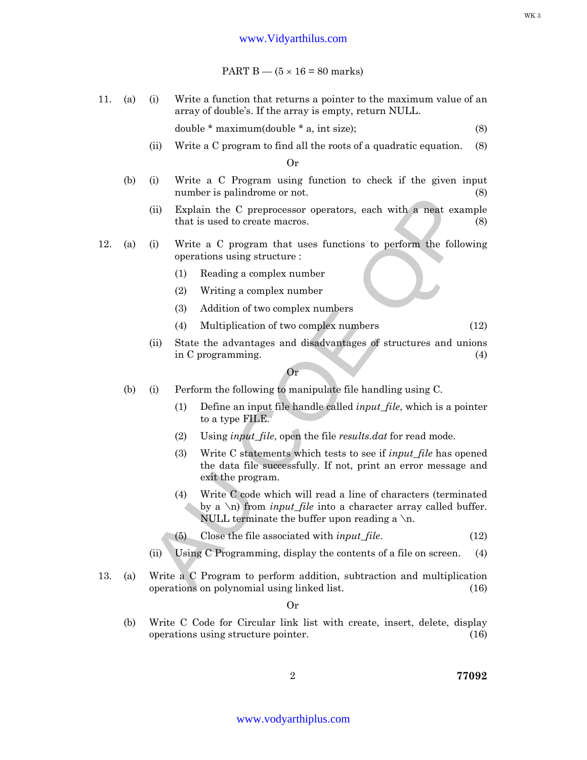PART  $B - (5 \times 16 = 80$  marks)

11. (a) (i) Write a function that returns a pointer to the maximum value of an array of double's. If the array is empty, return NULL.

double  $*$  maximum(double  $*$  a, int size); (8)

(ii) Write a C program to find all the roots of a quadratic equation. (8)

Or

- (b) (i) Write a C Program using function to check if the given input number is palindrome or not. (8)
	- (ii) Explain the C preprocessor operators, each with a neat example that is used to create macros. (8)
- 12. (a) (i) Write a C program that uses functions to perform the following operations using structure :
	- (1) Reading a complex number
	- (2) Writing a complex number
	- (3) Addition of two complex numbers
	- (4) Multiplication of two complex numbers (12)
	- (ii) State the advantages and disadvantages of structures and unions in C programming. (4)

Or

- (b) (i) Perform the following to manipulate file handling using C.
	- (1) Define an input file handle called *input\_file*, which is a pointer to a type FILE.
	- (2) Using *input\_file*, open the file *results.dat* for read mode.
- Figure is paintaine or not.<br>
(ii) Explain the C preprocessor operators, each with a neat example<br>
that is used to create macros.<br>
(3)<br>
Write a C program that uses functions to perform the following<br>
operations using struc (3) Write C statements which tests to see if *input\_file* has opened the data file successfully. If not, print an error message and exit the program.
	- (4) Write C code which will read a line of characters (terminated by a \n) from *input\_file* into a character array called buffer. NULL terminate the buffer upon reading a  $\ln$ .
	- (5) Close the file associated with *input\_file*. (12)
	- (ii) Using C Programming, display the contents of a file on screen. (4)
- 13. (a) Write a C Program to perform addition, subtraction and multiplication operations on polynomial using linked list. (16)

Or

(b) Write C Code for Circular link list with create, insert, delete, display operations using structure pointer. (16)

2 **77092**